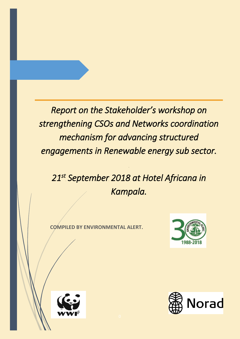*Report on the Stakeholder's workshop on strengthening CSOs and Networks coordination mechanism for advancing structured engagements in Renewable energy sub sector.* 

*21st September 2018 at Hotel Africana in Kampala.* 

**COMPILED BY ENVIRONMENTAL ALERT.**





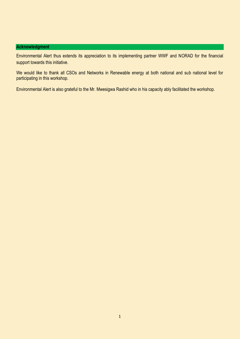# **Acknowledgment**

Environmental Alert thus extends its appreciation to its implementing partner WWF and NORAD for the financial support towards this initiative.

We would like to thank all CSOs and Networks in Renewable energy at both national and sub national level for participating in this workshop.

Environmental Alert is also grateful to the Mr. Mwesigwa Rashid who in his capacity ably facilitated the workshop.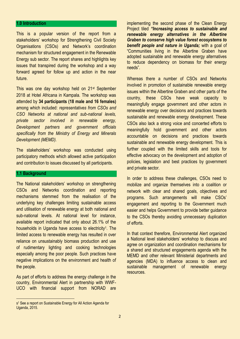#### **1.0 Introduction**

This is a popular version of the report from a stakeholders' workshop for Strengthening Civil Society Organisations (CSOs) and Network's coordination mechanism for structured engagement in the Renewable Energy sub sector. The report shares and highlights key issues that transpired during the workshop and a way forward agreed for follow up and action in the near future.

This was one day workshop held on 21st September 2018 at Hotel Africana in Kampala. The workshop was attended by **34 participants (18 male and 16 females)** among which included: *representatives from CSOs and CSO Networks at national and sub-national levels, private sector involved in renewable energy, Development partners and government officials specifically from the Ministry of Energy and Minerals Development (MEMD).*

The stakeholders' workshop was conducted using participatory methods which allowed active participation and contribution to issues discussed by all participants.

## **1.1 Background**

The National stakeholders' workshop on strengthening CSOs and Networks coordination and reporting mechanisms stemmed from the realisation of the underlying key challenges limiting sustainable access and utilisation of renewable energy at both national and sub-national levels. At national level for instance, available report indicated that only about 26.1% of the households in Uganda have access to electricity<sup>1</sup>. The limited access to renewable energy has resulted in over reliance on unsustainably biomass production and use of rudimentary lighting and cooking technologies especially among the poor people. Such practices have negative implications on the environment and health of the people.

As part of efforts to address the energy challenge in the country, Environmental Alert in partnership with WWF-UCO with financial support from NORAD are

implementing the second phase of the Clean Energy Project tiled *"Increasing access to sustainable and renewable energy alternatives in the Albertine Graben to conserve high value forest ecosystems to benefit people and nature in Uganda;* with a goal of "Communities living in the Albertine Graben have adopted sustainable and renewable energy alternatives to reduce dependency on biomass for their energy needs".

Whereas there a number of CSOs and Networks involved in promotion of sustainable renewable energy issues within the Albertine Graben and other parts of the country, these CSOs have weak capacity to meaningfully engage government and other actors in renewable energy over decisions and practices towards sustainable and renewable energy development. These CSOs also lack a strong voice and concerted efforts to meaningfully hold government and other actors accountable on decisions and practices towards sustainable and renewable energy development. This is further coupled with the limited skills and tools for effective advocacy on the development and adoption of policies, legislation and best practices by government and private sector.

In order to address these challenges, CSOs need to mobilize and organize themselves into a coalition or network with clear and shared goals, objectives and programs. Such arrangements will make CSOs' engagement and reporting to the Government much easier and helps Government to provide better guidance to the CSOs thereby avoiding unnecessary duplication of efforts.

In that context therefore, Environmental Alert organized a National level stakeholders' workshop to discuss and agree on organization and coordination mechanisms for a shared and structured engagements agenda with the MEMD and other relevant Ministerial departments and agencies (MDA) to influence access to clean and sustainable management of renewable energy resources.

s <sup>1</sup> See a report on Sustainable Energy for All Action Agenda for Uganda, 2015.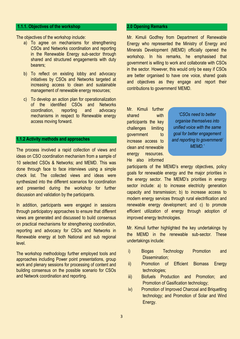#### **1.1.1. Objectives of the workshop**

The objectives of the workshop include:

- a) To agree on mechanisms for strengthening CSOs and Networks coordination and reporting in the Renewable Energy sub-sector through shared and structured engagements with duty bearers;
- b) To reflect on existing lobby and advocacy initiatives by CSOs and Networks targeted at increasing access to clean and sustainable management of renewable energy resources;
- c) To develop an action plan for operationalization of the identified CSOs and Networks coordination, reporting and advocacy mechanisms in respect to Renewable energy access moving forward.

## **1.1.2 Activity methods and approaches**

The process involved a rapid collection of views and ideas on CSO coordination mechanism from a sample of 10 selected CSOs & Networks; and MEMD. This was done through face to face interviews using a simple check list. The collected views and ideas were synthesized into the different scenarios for coordination and presented during the workshop for further discussion and validation by the participants.

In addition, participants were engaged in sessions through participatory approaches to ensure that different views are generated and discussed to build consensus on practical mechanisms for strengthening coordination, reporting and advocacy for CSOs and Networks in Renewable energy at both National and sub regional level.

The workshop methodology further employed tools and approaches including Power point presentations, group work and plenary sessions for processing of content and building consensus on the possible scenario for CSOs and Network coordination and reporting.

#### **2.0 Opening Remarks**

Mr. Kimuli Godfrey from Department of Renewable Energy who represented the Ministry of Energy and Minerals Development (MEMD) officially opened the workshop. In his remarks, he emphasised that government is willing to work and collaborate with CSOs in the sector. However, this would only be easy if CSOs are better organised to have one voice, shared goals and objectives as they engage and report their contributions to government/ MEMD.

Mr. Kimuli further shared with participants the key challenges limiting aovernment to increase access to clean and renewable energy resources. He also informed

*'CSOs need to better organise themselves into unified voice with the same goal for better engagement and reporting to government/ MEMD.'*

participants of the MEMD's energy objectives, policy goals for renewable energy and the major priorities in the energy sector. The MEMD's priorities in energy sector include: a) to increase electricity generation capacity and transmission; b) to increase access to modern energy services through rural electrification and renewable energy development; and c) to promote efficient utilization of energy through adoption of improved energy technologies.

Mr. Kimuli further highlighted the key undertakings by the MEMD in the renewable sub-sector. These undertakings include:

- i) Biogas Technology Promotion and Dissemination:
- ii) Promotion of Efficient Biomass Energy technologies;
- iii) Biofuels Production and Promotion; and Promotion of Gasification technology;
- iv) Promotion of Improved Charcoal and Briquetting technology; and Promotion of Solar and Wind Energy.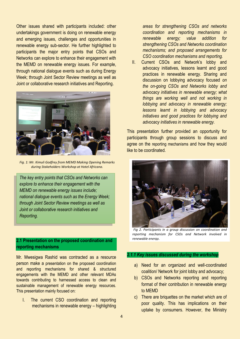Other issues shared with participants included: other undertakings government is doing on renewable energy and emerging issues, challenges and opportunities in renewable energy sub-sector. He further highlighted to participants the major entry points that CSOs and Networks can explore to enhance their engagement with the MEMD on renewable energy issues. For example, through national dialogue events such as during Energy Week; through Joint Sector Review meetings as well as Joint or collaborative research initiatives and Reporting.



*Fig. 1: Mr. Kimuli Godfrey from MEMD Making Opening Remarks during Stakeholders Workshop at Hotel Africana.*

*The key entry points that CSOs and Networks can explore to enhance their engagement with the MEMD on renewable energy issues include; national dialogue events such as the Energy Week; through Joint Sector Review meetings as well as Joint or collaborative research initiatives and Reporting.*

# **2.1 Presentation on the proposed coordination and reporting mechanisms**

Mr. Mwesigwa Rashid was contracted as a resource person make a presentation on the proposed coordination and reporting mechanisms for shared & structured engagements with the MEMD and other relevant MDAs towards contributing to harnessed access to clean and sustainable management of renewable energy resources. This presentation mainly focused on:

I. The current CSO coordination and reporting mechanisms in renewable energy – highlighting

*areas for strengthening CSOs and networks coordination and reporting mechanisms in renewable energy; value addition for strengthening CSOs and Networks coordination mechanisms; and proposed arrangements for CSO coordination mechanisms and reporting.*

II. Current CSOs and Network's lobby and advocacy initiatives, lessons learnt and good practices in renewable energy. Sharing and discussion on lobbying advocacy focused *on the on-going CSOs and Networks lobby and advocacy initiatives in renewable energy; what things are working well and not working in lobbying and advocacy in renewable energy; lessons learnt in lobbying and advocacy initiatives and good practices for lobbying and advocacy initiatives in renewable energy.*

This presentation further provided an opportunity for participants through group sessions to discuss and agree on the reporting mechanisms and how they would like to be coordinated.



*Fig 2. Participants in a group discussion on coordination and reporting mechanism for CSOs and Network involved in renewable energy.*

#### *2.1.1 Key issues discussed during the workshop*

- a) Need for an organized and well-coordinated coalition/ Network for joint lobby and advocacy;
- b) CSOs and Networks reporting and reporting format of their contribution in renewable energy to MEMD
- c) There are briquettes on the market which are of poor quality. This has implications on their uptake by consumers. However, the Ministry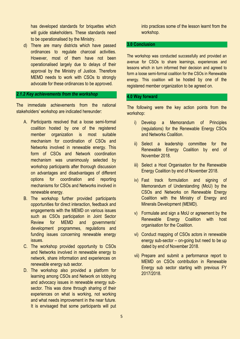has developed standards for briquettes which will guide stakeholders. These standards need to be operationalised by the Ministry.

d) There are many districts which have passed ordinances to regulate charcoal activities. However, most of them have not been operationalised largely due to delays of their approval by the Ministry of Justice. Therefore MEMD needs to work with CSOs to strongly advocate for these ordinances to be approved.

#### *2.1.2 Key achievements from the workshop*

The immediate achievements from the national stakeholders' workshop are indicated hereunder:

- A. Participants resolved that a loose semi-formal coalition hosted by one of the registered member organization is most suitable mechanism for coordination of CSOs and Networks involved in renewable energy. This form of CSOs and Network coordination mechanism was unanimously selected by workshop participants after thorough discussion on advantages and disadvantages of different options for coordination and reporting mechanisms for CSOs and Networks involved in renewable energy.
- B. The workshop further provided participants opportunities for direct interaction, feedback and engagements with the MEMD on various issues such as CSOs participation in Joint Sector Review for MEMD and governments' development programmes, regulations and funding issues concerning renewable energy issues.
- C. The workshop provided opportunity to CSOs and Networks involved in renewable energy to network, share information and experiences on renewable energy sub sector.
- D. The workshop also provided a platform for learning among CSOs and Network on lobbying and advocacy issues in renewable energy subsector. This was done through sharing of their experiences on what is working, not working and what needs improvement in the near future. It is envisaged that some participants will put

into practices some of the lesson learnt from the workshop.

## **3.0 Conclusion**

The workshop was conducted successfully and provided an avenue for CSOs to share learnings, experiences and lessons which in turn informed their decision and agreed to form a loose semi-formal coalition for the CSOs in Renewable energy. This coalition will be hosted by one of the registered member organization to be agreed on.

## **4.0 Way forward**

The following were the key action points from the workshop:

- i) Develop a Memorandum of Principles (regulations) for the Renewable Energy CSOs and Networks Coalition.
- ii) Select a leadership committee for the Renewable Energy Coalition by end of November 2018.
- iii) Select a Host Organisation for the Renewable Energy Coalition by end of November 2018.
- iv) Fast track formulation and signing of Memorandum of Understanding (MoU) by the CSOs and Networks on Renewable Energy Coalition with the Ministry of Energy and Minerals Development (MEMD).
- v) Formulate and sign a MoU or agreement by the Renewable Energy Coalition with host organisation for the Coalition.
- vi) Conduct mapping of CSOs actors in renewable energy sub-sector – on-going but need to be up dated by end of November 2018.
- vii) Prepare and submit a performance report to MEMD on CSOs contribution in Renewable Energy sub sector starting with previous FY 2017/2018.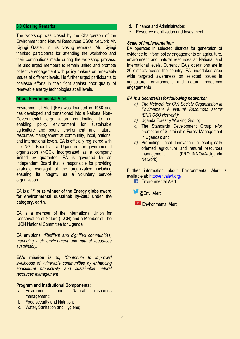#### **5.0 Closing Remarks**

The workshop was closed by the Chairperson of the Environment and Natural Resources CSOs Network Mr. Kiyingi Gaster. In his closing remarks, Mr. Kiyingi thanked participants for attending the workshop and their contributions made during the workshop process. He also urged members to remain united and promote collective engagement with policy makers on renewable issues at different levels. He further urged participants to coalesce efforts in their fight against poor quality of renewable energy technologies at all levels.

#### **About Environmental Alert**

Environmental Alert (EA) was founded in **1988** and has developed and transitioned into a National Non-Governmental organization contributing to an enabling policy environment for sustainable agriculture and sound environment and natural resources management at community, local, national and international levels. EA is officially registered with the NGO Board as a Ugandan non-governmental organization (NGO), incorporated as a company limited by guarantee. EA is governed by an Independent Board that is responsible for providing strategic oversight of the organization including ensuring its integrity as a voluntary service organization.

#### EA is a **1 st prize winner of the Energy globe award for environmental sustainability-2005 under the category, earth.**

EA is a member of the International Union for Conservation of Nature (IUCN) and a Member of The IUCN National Committee for Uganda.

EA envisions, *'Resilient and dignified communities, managing their environment and natural resources sustainably.'* 

**EA's mission is to,** *'Contribute to improved livelihoods of vulnerable communities by enhancing agricultural productivity and sustainable natural resources management'*

## **Program and institutional Components:**

- a. Environment and Natural resources management;
- b. Food security and Nutrition;
- c. Water, Sanitation and Hygiene;
- d. Finance and Administration;
- e. Resource mobilization and Investment.

#### *Scale of Implementation:*

EA operates in selected districts for generation of evidence to inform policy engagements on agriculture, environment and natural resources at National and International levels. Currently EA's operations are in 20 districts across the country. EA undertakes area wide targeted awareness on selected issues in agriculture, environment and natural resources engagements

#### *EA is a Secretariat for following networks:*

- *a) The Network for Civil Society Organisation in Environment & Natural Resources sector (ENR CSO Network);*
- *b)* Uganda Forestry Working Group;
- *c)* The Standards Development Group (-for promotion of Sustainable Forest Management in Uganda); and
- *d)* Promoting Local Innovation in ecologically oriented agriculture and natural resources management (PROLINNOVA-Uganda Network).

Further information about Environmental Alert is available at:<http://envalert.org/>

**Environmental Alert** 



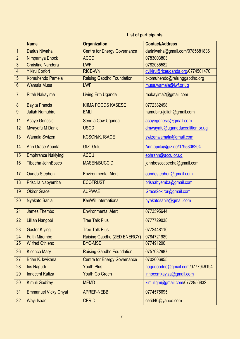# **List of participants**

|                | <b>Name</b>                 | <b>Organization</b>                 | <b>Contact/Address</b>            |
|----------------|-----------------------------|-------------------------------------|-----------------------------------|
| $\overline{1}$ | <b>Darius Niwaha</b>        | <b>Centre for Energy Governance</b> | dariniwaha@gmail.com/0785681836   |
| $\overline{2}$ | Nimpamya Enock              | <b>ACCC</b>                         | 0783003803                        |
| $\overline{3}$ | <b>Christine Nandora</b>    | <b>LWF</b>                          | 0782035582                        |
| $\overline{4}$ | <b>Yikiru Corfort</b>       | <b>RICE-WN</b>                      | cyikiru@riceuganda.org/0774501470 |
| 5              | Komuhendo Pamela            | <b>Raising Gabdho Foundation</b>    | pkomuhendo@raisinggabdho.org      |
| $6\phantom{1}$ | <b>Wamala Musa</b>          | <b>LWF</b>                          | musa.wamala@lwf.or.ug             |
| $\overline{7}$ | <b>Ritah Nakayima</b>       | <b>Living Erth Uganda</b>           | rnakayima2@gmail.com              |
| $\bf 8$        | <b>Bayita Francis</b>       | <b>KIIMA FOODS KASESE</b>           | 0772382498                        |
| 9              | <b>Jaliah Namubiru</b>      | <b>EMLI</b>                         | namubiru-jaliah@gmail.com         |
| 11             | <b>Acaye Genesis</b>        | Send a Cow Uganda                   | acayegenesis@gmail.com            |
| 12             | Mwayafu M Daniel            | <b>USCD</b>                         | dmwayafu@uganadacoalition.or.ug   |
| 13             | <b>Wamala Swizen</b>        | <b>KCSON/K. ISACE</b>               | swizenwamala@gmail.com            |
| 14             | Ann Grace Apunta            | <b>GIZ- Gulu</b>                    | Ann.apiita@giz.de/0795306204      |
| 15             | <b>Emphrance Nakiyingi</b>  | <b>ACCU</b>                         | ephrahn@accu.or.ug                |
| 16             | Tibeeha JohnBosco           | <b>MASEN/BUCCID</b>                 | johnboscotibeeha@gmail.com        |
| 17             | <b>Oundo Stephen</b>        | <b>Environmental Alert</b>          | oundostephen@gmail.com            |
| 18             | Priscilla Nabyemba          | <b>ECOTRUST</b>                     | prisnabyemba@gmail.com            |
| 19             | <b>Okiror Grace</b>         | <b>AUPWAE</b>                       | Grace2okiror@gmail.com            |
| 20             | Nyakato Sania               | <b>KenWill International</b>        | nyakatosania@gmail.com            |
| 21             | James Thembo                | <b>Environmental Alert</b>          | 0773595644                        |
|                | 22 Lillian Nangobi          | <b>Tree Talk Plus</b>               | 0777729038                        |
| 23             | Gaster Kiyingi              | <b>Tree Talk Plus</b>               | 0772448110                        |
| 24             | <b>Faith Mirembe</b>        | Raising Gabdho (ZED ENERGY)         | 0784721989                        |
| 25             | <b>Wilfred Othieno</b>      | <b>BYO-MSD</b>                      | 077491200                         |
| 26             | <b>Kiconco Mary</b>         | <b>Raising Gabdho Foundation</b>    | 0757632987                        |
| 27             | Brian K. kwikana            | <b>Centre for Energy Governance</b> | 0702606955                        |
| 28             | <b>Iris Nagudi</b>          | <b>Youth Plus</b>                   | nagudoodee@gmail.com/0777949194   |
| 29             | <b>Innocent Katiza</b>      | <b>Youth Go Green</b>               | innocentkayiza@gmail.com          |
| 30             | <b>Kimuli Godfrey</b>       | <b>MEMD</b>                         | kimuligm@gmail.com/0772956832     |
| 31             | <b>Emmanuel Vicky Onyai</b> | <b>APREF-NEBBI</b>                  | 0774575695                        |
| 32             | Wayi Isaac                  | <b>CERID</b>                        | cerid40@yahoo.com                 |